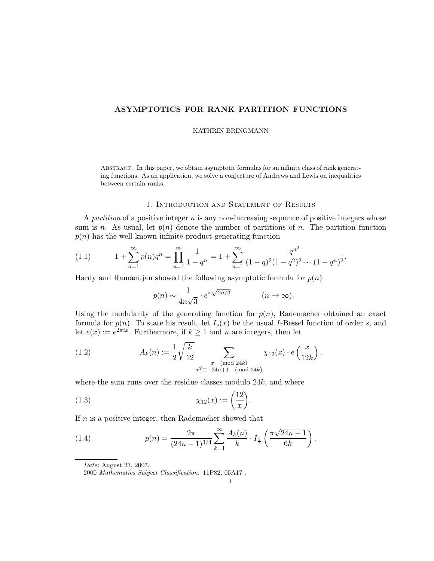# ASYMPTOTICS FOR RANK PARTITION FUNCTIONS

#### KATHRIN BRINGMANN

Abstract. In this paper, we obtain asymptotic formulas for an infinite class of rank generating functions. As an application, we solve a conjecture of Andrews and Lewis on inequalities between certain ranks.

## 1. Introduction and Statement of Results

A partition of a positive integer  $n$  is any non-increasing sequence of positive integers whose sum is n. As usual, let  $p(n)$  denote the number of partitions of n. The partition function  $p(n)$  has the well known infinite product generating function

$$
(1.1) \t 1 + \sum_{n=1}^{\infty} p(n)q^n = \prod_{n=1}^{\infty} \frac{1}{1-q^n} = 1 + \sum_{n=1}^{\infty} \frac{q^{n^2}}{(1-q)^2(1-q^2)^2 \cdots (1-q^n)^2}.
$$

Hardy and Ramanujan showed the following asymptotic formula for  $p(n)$ 

$$
p(n) \sim \frac{1}{4n\sqrt{3}} \cdot e^{\pi \sqrt{2n/3}} \qquad (n \to \infty).
$$

Using the modularity of the generating function for  $p(n)$ , Rademacher obtained an exact formula for  $p(n)$ . To state his result, let  $I_s(x)$  be the usual I-Bessel function of order s, and let  $e(x) := e^{2\pi ix}$ . Furthermore, if  $k \ge 1$  and n are integers, then let

(1.2) 
$$
A_k(n) := \frac{1}{2} \sqrt{\frac{k}{12}} \sum_{\substack{x \pmod{24k} \\ x^2 \equiv -24n+1 \pmod{24k}}} \chi_{12}(x) \cdot e\left(\frac{x}{12k}\right),
$$

where the sum runs over the residue classes modulo 24k, and where

$$
\chi_{12}(x) := \left(\frac{12}{x}\right).
$$

If n is a positive integer, then Rademacher showed that

(1.4) 
$$
p(n) = \frac{2\pi}{(24n-1)^{3/4}} \sum_{k=1}^{\infty} \frac{A_k(n)}{k} \cdot I_{\frac{3}{2}}\left(\frac{\pi\sqrt{24n-1}}{6k}\right).
$$

Date: August 23, 2007.

2000 Mathematics Subject Classification. 11P82, 05A17 .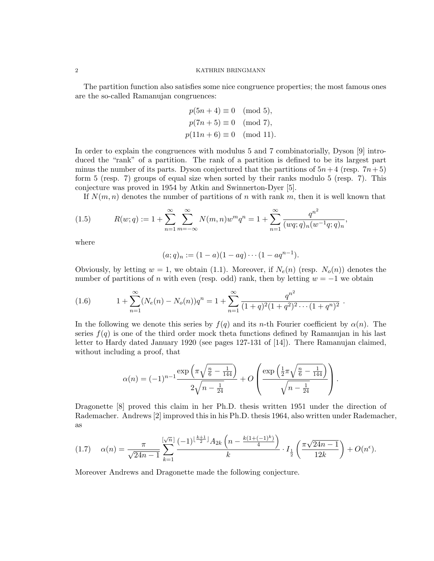The partition function also satisfies some nice congruence properties; the most famous ones are the so-called Ramanujan congruences:

$$
p(5n + 4) \equiv 0 \pmod{5},
$$
  
\n $p(7n + 5) \equiv 0 \pmod{7},$   
\n $p(11n + 6) \equiv 0 \pmod{11}$ 

In order to explain the congruences with modulus 5 and 7 combinatorially, Dyson [9] introduced the "rank" of a partition. The rank of a partition is defined to be its largest part minus the number of its parts. Dyson conjectured that the partitions of  $5n+4$  (resp.  $7n+5$ ) form 5 (resp. 7) groups of equal size when sorted by their ranks modulo 5 (resp. 7). This conjecture was proved in 1954 by Atkin and Swinnerton-Dyer [5].

If  $N(m, n)$  denotes the number of partitions of n with rank m, then it is well known that

(1.5) 
$$
R(w;q) := 1 + \sum_{n=1}^{\infty} \sum_{m=-\infty}^{\infty} N(m,n)w^m q^n = 1 + \sum_{n=1}^{\infty} \frac{q^{n^2}}{(wq;q)_n (w^{-1}q;q)_n},
$$

where

$$
(a;q)_n := (1-a)(1-aq) \cdots (1-aq^{n-1}).
$$

Obviously, by letting  $w = 1$ , we obtain (1.1). Moreover, if  $N_e(n)$  (resp.  $N_o(n)$ ) denotes the number of partitions of n with even (resp. odd) rank, then by letting  $w = -1$  we obtain

(1.6) 
$$
1 + \sum_{n=1}^{\infty} (N_e(n) - N_o(n))q^n = 1 + \sum_{n=1}^{\infty} \frac{q^{n^2}}{(1+q)^2(1+q^2)^2 \cdots (1+q^n)^2}.
$$

In the following we denote this series by  $f(q)$  and its n-th Fourier coefficient by  $\alpha(n)$ . The series  $f(q)$  is one of the third order mock theta functions defined by Ramanujan in his last letter to Hardy dated January 1920 (see pages 127-131 of [14]). There Ramanujan claimed, without including a proof, that

$$
\alpha(n) = (-1)^{n-1} \frac{\exp\left(\pi \sqrt{\frac{n}{6} - \frac{1}{144}}\right)}{2\sqrt{n - \frac{1}{24}}} + O\left(\frac{\exp\left(\frac{1}{2}\pi \sqrt{\frac{n}{6} - \frac{1}{144}}\right)}{\sqrt{n - \frac{1}{24}}}\right).
$$

Dragonette [8] proved this claim in her Ph.D. thesis written 1951 under the direction of Rademacher. Andrews [2] improved this in his Ph.D. thesis 1964, also written under Rademacher, as

$$
(1.7) \quad \alpha(n) = \frac{\pi}{\sqrt{24n-1}} \sum_{k=1}^{\left[\sqrt{n}\right]} \frac{(-1)^{\left[\frac{k+1}{2}\right]} A_{2k} \left(n - \frac{k(1+(-1)^k)}{4}\right)}{k} \cdot I_{\frac{1}{2}}\left(\frac{\pi\sqrt{24n-1}}{12k}\right) + O(n^{\epsilon}).
$$

Moreover Andrews and Dragonette made the following conjecture.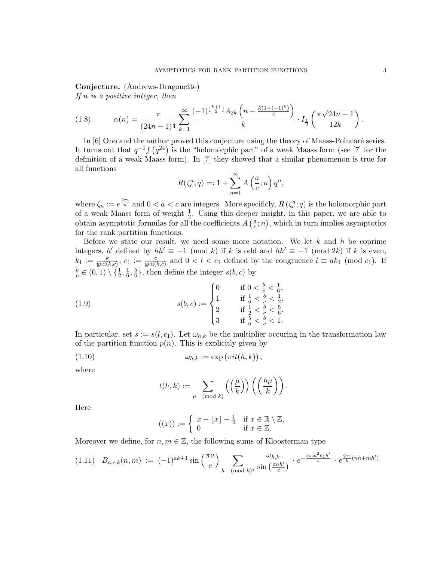Conjecture. (Andrews-Dragonette)

If  $n$  is a positive integer, then

$$
(1.8) \qquad \alpha(n) = \frac{\pi}{(24n-1)^{\frac{1}{4}}} \sum_{k=1}^{\infty} \frac{(-1)^{\lfloor \frac{k+1}{2} \rfloor} A_{2k} \left(n - \frac{k(1+(-1)^k)}{4}\right)}{k} \cdot I_{\frac{1}{2}} \left(\frac{\pi \sqrt{24n-1}}{12k}\right).
$$

In [6] Ono and the author proved this conjecture using the theory of Maass-Poincaré series. It turns out that  $q^{-1}f(q^{24})$  is the "holomorphic part" of a weak Maass form (see [7] for the definition of a weak Maass form). In [7] they showed that a similar phenomenon is true for all functions

$$
R(\zeta_c^a; q) =: 1 + \sum_{n=1}^{\infty} A\left(\frac{a}{c}; n\right) q^n,
$$

where  $\zeta_n := e^{\frac{2\pi i}{n}}$  and  $0 < a < c$  are integers. More specificly,  $R(\zeta_c^a; q)$  is the holomorphic part of a weak Maass form of weight  $\frac{1}{2}$ . Using this deeper insight, in this paper, we are able to obtain asymptotic formulas for all the coefficients  $A\left(\frac{a}{c}\right)$  $(\frac{a}{c}; n)$ , which in turn implies asymptotics for the rank partition functions.

Before we state our result, we need some more notation. We let  $k$  and  $h$  be coprime integers, h' defined by  $hh' \equiv -1 \pmod{k}$  if k is odd and  $hh' \equiv -1 \pmod{2k}$  if k is even,  $k_1 := \frac{k}{\gcd(k,c)}, c_1 := \frac{c}{\gcd(k,c)}$  and  $0 < l < c_1$  defined by the congruence  $l \equiv ak_1 \pmod{c_1}$ . If b  $\frac{b}{c} \in (0,1) \setminus \{\frac{1}{2}, \frac{1}{6}$  $\frac{1}{6}, \frac{5}{6}$  $\frac{5}{6}$ , then define the integer  $s(b, c)$  by

(1.9) 
$$
s(b, c) := \begin{cases} 0 & \text{if } 0 < \frac{b}{c} < \frac{1}{6}, \\ 1 & \text{if } \frac{1}{6} < \frac{b}{c} < \frac{1}{2}, \\ 2 & \text{if } \frac{1}{2} < \frac{b}{c} < \frac{5}{6}, \\ 3 & \text{if } \frac{5}{6} < \frac{b}{c} < 1. \end{cases}
$$

In particular, set  $s := s(l, c_1)$ . Let  $\omega_{h,k}$  be the multiplier occuring in the transformation law of the partition function  $p(n)$ . This is explicitly given by

$$
(1.10) \t\t \t\t \omega_{h,k} := \exp(\pi i t(h,k)),
$$

where

$$
t(h,k) := \sum_{\mu \pmod{k}} \left( \left( \frac{\mu}{k} \right) \right) \left( \left( \frac{h\mu}{k} \right) \right).
$$

Here

$$
((x)) := \begin{cases} x - \lfloor x \rfloor - \frac{1}{2} & \text{if } x \in \mathbb{R} \setminus \mathbb{Z}, \\ 0 & \text{if } x \in \mathbb{Z}. \end{cases}
$$

Moreover we define, for  $n, m \in \mathbb{Z}$ , the following sums of Kloosterman type

$$
(1.11) \quad B_{a,c,k}(n,m) \; := \; (-1)^{ak+1} \sin\left(\frac{\pi a}{c}\right) \sum_{h \pmod{k}} \frac{\omega_{h,k}}{\sin\left(\frac{\pi a h'}{c}\right)} \cdot e^{-\frac{3\pi i a^2 k_1 h'}{c}} \cdot e^{\frac{2\pi i}{k}(nh+mh')}
$$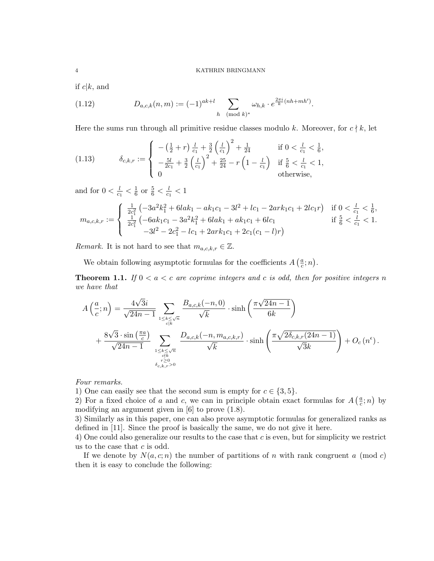if  $c|k$ , and

(1.12) 
$$
D_{a,c,k}(n,m) := (-1)^{ak+l} \sum_{h \pmod{k}} \omega_{h,k} \cdot e^{\frac{2\pi i}{k}(nh+mh')}.
$$

Here the sums run through all primitive residue classes modulo k. Moreover, for  $c \nmid k$ , let

(1.13) 
$$
\delta_{c,k,r} := \begin{cases}\n-\left(\frac{1}{2}+r\right)\frac{l}{c_1} + \frac{3}{2}\left(\frac{l}{c_1}\right)^2 + \frac{1}{24} & \text{if } 0 < \frac{l}{c_1} < \frac{1}{6}, \\
-\frac{5l}{2c_1} + \frac{3}{2}\left(\frac{l}{c_1}\right)^2 + \frac{25}{24} - r\left(1 - \frac{l}{c_1}\right) & \text{if } \frac{5}{6} < \frac{l}{c_1} < 1, \\
0 & \text{otherwise,} \n\end{cases}
$$

and for  $0 < \frac{l}{c}$  $\frac{l}{c_1} < \frac{1}{6}$  $\frac{1}{6}$  or  $\frac{5}{6} < \frac{l}{c_1}$  $\frac{l}{c_1} < 1$ 

$$
m_{a,c,k,r} := \begin{cases} \frac{1}{2c_1^2} \left( -3a^2k_1^2 + 6lak_1 - ak_1c_1 - 3l^2 + lc_1 - 2ark_1c_1 + 2lc_1r \right) & \text{if } 0 < \frac{l}{c_1} < \frac{1}{6},\\ \frac{1}{2c_1^2} \left( -6ak_1c_1 - 3a^2k_1^2 + 6lak_1 + ak_1c_1 + 6lc_1 & \text{if } \frac{5}{6} < \frac{l}{c_1} < 1,\\ -3l^2 - 2c_1^2 - lc_1 + 2ark_1c_1 + 2c_1(c_1 - l)r \right) & \end{cases}
$$

*Remark*. It is not hard to see that  $m_{a,c,k,r} \in \mathbb{Z}$ .

We obtain following asymptotic formulas for the coefficients  $A\left(\frac{a}{c}\right)$  $\frac{a}{c};n$ ).

**Theorem 1.1.** If  $0 < a < c$  are coprime integers and c is odd, then for positive integers n we have that

$$
A\left(\frac{a}{c};n\right) = \frac{4\sqrt{3}i}{\sqrt{24n-1}} \sum_{\substack{1 \le k \le \sqrt{n} \\ c|k}} \frac{B_{a,c,k}(-n,0)}{\sqrt{k}} \cdot \sinh\left(\frac{\pi\sqrt{24n-1}}{6k}\right)
$$
  
+ 
$$
\frac{8\sqrt{3}\cdot\sin\left(\frac{\pi a}{c}\right)}{\sqrt{24n-1}} \sum_{\substack{1 \le k \le \sqrt{n} \\ c|k \atop k \ge 0}} \frac{D_{a,c,k}(-n,m_{a,c,k,r})}{\sqrt{k}} \cdot \sinh\left(\frac{\pi\sqrt{2\delta_{c,k,r}(24n-1)}}{\sqrt{3}k}\right) + O_c\left(n^{\epsilon}\right).
$$

Four remarks.

1) One can easily see that the second sum is empty for  $c \in \{3, 5\}$ .

2) For a fixed choice of a and c, we can in principle obtain exact formulas for  $A\left(\frac{a}{c}\right)$  $\frac{a}{c}$ ; *n*) by modifying an argument given in [6] to prove (1.8).

3) Similarly as in this paper, one can also prove asymptotic formulas for generalized ranks as defined in [11]. Since the proof is basically the same, we do not give it here.

4) One could also generalize our results to the case that c is even, but for simplicity we restrict us to the case that  $c$  is odd.

If we denote by  $N(a, c; n)$  the number of partitions of n with rank congruent a (mod c) then it is easy to conclude the following: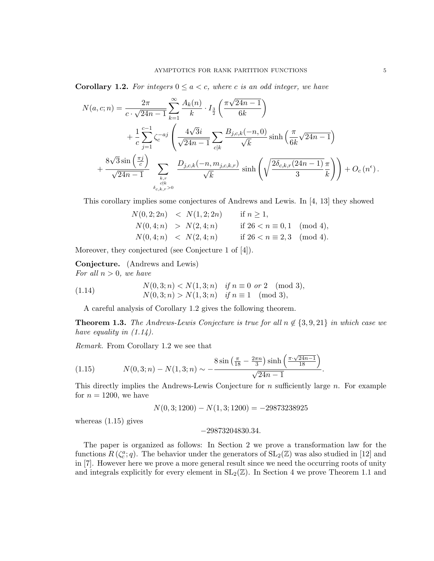**Corollary 1.2.** For integers  $0 \le a < c$ , where c is an odd integer, we have

$$
N(a, c; n) = \frac{2\pi}{c \cdot \sqrt{24n - 1}} \sum_{k=1}^{\infty} \frac{A_k(n)}{k} \cdot I_{\frac{3}{2}}\left(\frac{\pi\sqrt{24n - 1}}{6k}\right)
$$
  
+ 
$$
\frac{1}{c} \sum_{j=1}^{c-1} \zeta_c^{-aj} \left(\frac{4\sqrt{3}i}{\sqrt{24n - 1}} \sum_{c|k} \frac{B_{j,c,k}(-n, 0)}{\sqrt{k}} \sinh\left(\frac{\pi}{6k}\sqrt{24n - 1}\right) + \frac{8\sqrt{3}\sin\left(\frac{\pi j}{c}\right)}{\sqrt{24n - 1}} \sum_{\substack{k,r \ k \neq s}} \frac{D_{j,c,k}(-n, m_{j,c,k,r})}{\sqrt{k}} \sinh\left(\sqrt{\frac{2\delta_{c,k,r}(24n - 1)}{3}}\frac{\pi}{k}\right) + O_c(n^{\epsilon}).
$$

This corollary implies some conjectures of Andrews and Lewis. In [4, 13] they showed

$$
N(0,2;2n) < N(1,2;2n) \quad \text{if } n \ge 1,
$$
\n
$$
N(0,4;n) > N(2,4;n) \quad \text{if } 26 < n \equiv 0,1 \pmod{4},
$$
\n
$$
N(0,4;n) < N(2,4;n) \quad \text{if } 26 < n \equiv 2,3 \pmod{4}.
$$

Moreover, they conjectured (see Conjecture 1 of [4]).

Conjecture. (Andrews and Lewis) For all  $n > 0$ , we have

(1.14) 
$$
N(0,3;n) < N(1,3;n) \quad \text{if } n \equiv 0 \text{ or } 2 \pmod{3},
$$

$$
N(0,3;n) > N(1,3;n) \quad \text{if } n \equiv 1 \pmod{3},
$$

A careful analysis of Corollary 1.2 gives the following theorem.

**Theorem 1.3.** The Andrews-Lewis Conjecture is true for all  $n \notin \{3, 9, 21\}$  in which case we have equality in  $(1.14)$ .

Remark. From Corollary 1.2 we see that

(1.15) 
$$
N(0,3;n) - N(1,3;n) \sim -\frac{8\sin\left(\frac{\pi}{18} - \frac{2\pi n}{3}\right)\sinh\left(\frac{\pi \cdot \sqrt{24n-1}}{18}\right)}{\sqrt{24n-1}}.
$$

This directly implies the Andrews-Lewis Conjecture for  $n$  sufficiently large  $n$ . For example for  $n = 1200$ , we have

$$
N(0,3;1200) - N(1,3;1200) = -29873238925
$$

whereas (1.15) gives

$$
-29873204830.34.\\
$$

The paper is organized as follows: In Section 2 we prove a transformation law for the functions  $R(\zeta_c^a;q)$ . The behavior under the generators of  $SL_2(\mathbb{Z})$  was also studied in [12] and in [7]. However here we prove a more general result since we need the occurring roots of unity and integrals explicitly for every element in  $SL_2(\mathbb{Z})$ . In Section 4 we prove Theorem 1.1 and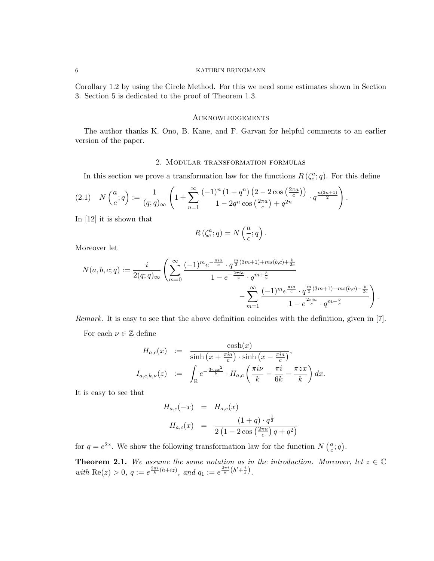Corollary 1.2 by using the Circle Method. For this we need some estimates shown in Section 3. Section 5 is dedicated to the proof of Theorem 1.3.

#### **ACKNOWLEDGEMENTS**

The author thanks K. Ono, B. Kane, and F. Garvan for helpful comments to an earlier version of the paper.

#### 2. Modular transformation formulas

In this section we prove a transformation law for the functions  $R(\zeta_c^a; q)$ . For this define

$$
(2.1) \quad N\left(\frac{a}{c};q\right) := \frac{1}{(q;q)_{\infty}} \left(1 + \sum_{n=1}^{\infty} \frac{(-1)^n \left(1 + q^n\right) \left(2 - 2\cos\left(\frac{2\pi a}{c}\right)\right)}{1 - 2q^n \cos\left(\frac{2\pi a}{c}\right) + q^{2n}} \cdot q^{\frac{n(3n+1)}{2}}\right).
$$

In [12] it is shown that

$$
R\left(\zeta_c^a; q\right) = N\left(\frac{a}{c}; q\right).
$$

Moreover let

$$
N(a,b,c;q) := \frac{i}{2(q;q)_{\infty}} \left( \sum_{m=0}^{\infty} \frac{(-1)^m e^{-\frac{\pi i a}{c}} \cdot q^{\frac{m}{2}(3m+1) + ms(b,c) + \frac{b}{2c}}}{1 - e^{-\frac{2\pi i a}{c}} \cdot q^{m + \frac{b}{c}}} - \sum_{m=1}^{\infty} \frac{(-1)^m e^{\frac{\pi i a}{c}} \cdot q^{\frac{m}{2}(3m+1) - ms(b,c) - \frac{b}{2c}}}{1 - e^{\frac{2\pi i a}{c}} \cdot q^{m - \frac{b}{c}}} \right).
$$

Remark. It is easy to see that the above definition coincides with the definition, given in [7].

For each  $\nu \in \mathbb{Z}$  define

$$
H_{a,c}(x) := \frac{\cosh(x)}{\sinh\left(x + \frac{\pi ia}{c}\right) \cdot \sinh\left(x - \frac{\pi ia}{c}\right)},
$$
  

$$
I_{a,c,k,\nu}(z) := \int_{\mathbb{R}} e^{-\frac{3\pi zx^2}{k}} \cdot H_{a,c}\left(\frac{\pi i\nu}{k} - \frac{\pi i}{6k} - \frac{\pi zx}{k}\right) dx.
$$

It is easy to see that

$$
H_{a,c}(-x) = H_{a,c}(x)
$$
  
\n
$$
H_{a,c}(x) = \frac{(1+q) \cdot q^{\frac{1}{2}}}{2(1-2\cos(\frac{2\pi a}{c})q+q^2)}
$$

for  $q = e^{2x}$ . We show the following transformation law for the function  $N\left(\frac{a}{c}\right)$  $\frac{a}{c}$ ; q).

**Theorem 2.1.** We assume the same notation as in the introduction. Moreover, let  $z \in \mathbb{C}$ with Re(z) > 0, q :=  $e^{\frac{2\pi i}{k}(h+iz)}$ , and  $q_1 := e^{\frac{2\pi i}{k}(h'+\frac{i}{z})}$ .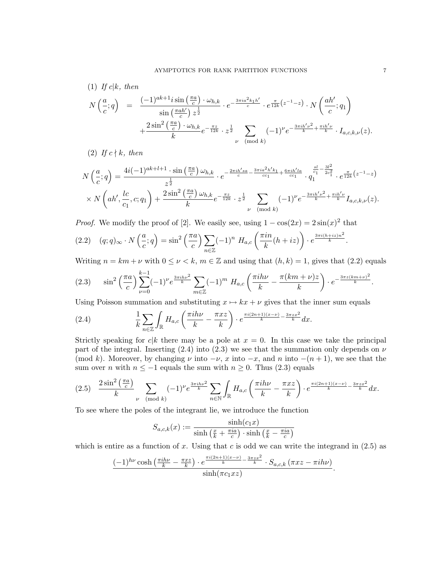(1) If 
$$
c|k
$$
, then  
\n
$$
N\left(\frac{a}{c};q\right) = \frac{(-1)^{ak+1}i\sin\left(\frac{\pi a}{c}\right)\cdot\omega_{h,k}}{\sin\left(\frac{\pi a h'}{c}\right)z^{\frac{1}{2}}} \cdot e^{-\frac{3\pi i a^2 k_1 h'}{c}} \cdot e^{\frac{\pi}{12k}\left(z^{-1}-z\right)} \cdot N\left(\frac{ah'}{c};q_1\right) + \frac{2\sin^2\left(\frac{\pi a}{c}\right)\cdot\omega_{h,k}}{k}e^{-\frac{\pi z}{12k}} \cdot z^{\frac{1}{2}} \sum_{\nu \pmod{k}} (-1)^{\nu}e^{-\frac{3\pi i h'\nu^2}{k} + \frac{\pi i h'\nu}{k}} \cdot I_{a,c,k,\nu}(z).
$$

(2) If  $c \nmid k$ , then

$$
N\left(\frac{a}{c};q\right) = \frac{4i(-1)^{ak+l+1} \cdot \sin\left(\frac{\pi a}{c}\right) \omega_{h,k}}{z^{\frac{1}{2}}} \cdot e^{-\frac{2\pi i h'sa}{c} - \frac{3\pi i a^2 h' k_1}{c c_1} + \frac{6\pi i h' l a}{c c_1}} \cdot q_1^{\frac{sl}{c_1} - \frac{3l^2}{2c_1^2}} \cdot e^{\frac{\pi}{12k}\left(z^{-1} - z\right)} \times N\left(ah',\frac{lc}{c_1},c;q_1\right) + \frac{2\sin^2\left(\frac{\pi a}{c}\right) \omega_{h,k}}{k} e^{-\frac{\pi z}{12k}} \cdot z^{\frac{1}{2}} \sum_{\nu \pmod{k}} (-1)^{\nu} e^{-\frac{3\pi i h' \nu^2}{k} + \frac{\pi i h' \nu}{k}} I_{a,c,k,\nu}(z).
$$

*Proof.* We modify the proof of [2]. We easily see, using  $1 - \cos(2x) = 2\sin(x)^2$  that

$$
(2.2) \quad (q;q)_{\infty} \cdot N\left(\frac{a}{c};q\right) = \sin^2\left(\frac{\pi a}{c}\right) \sum_{n \in \mathbb{Z}} (-1)^n \ H_{a,c}\left(\frac{\pi i n}{k}(h+iz)\right) \cdot e^{\frac{3\pi i (h+iz)n^2}{k}}.
$$

Writing  $n = km + \nu$  with  $0 \le \nu \le k$ ,  $m \in \mathbb{Z}$  and using that  $(h, k) = 1$ , gives that  $(2.2)$  equals

$$
(2.3) \quad \sin^2\left(\frac{\pi a}{c}\right) \sum_{\nu=0}^{k-1} (-1)^{\nu} e^{\frac{3\pi i h\nu^2}{k}} \sum_{m \in \mathbb{Z}} (-1)^m \ H_{a,c} \left(\frac{\pi i h\nu}{k} - \frac{\pi (km+\nu)z}{k}\right) \cdot e^{-\frac{3\pi z (km+\nu)^2}{k}}.
$$

Using Poisson summation and substituting  $x \mapsto kx + \nu$  gives that the inner sum equals

(2.4) 
$$
\frac{1}{k}\sum_{n\in\mathbb{Z}}\int_{\mathbb{R}}H_{a,c}\left(\frac{\pi i h\nu}{k}-\frac{\pi xz}{k}\right)\cdot e^{\frac{\pi i(2n+1)(x-\nu)}{k}-\frac{3\pi zx^2}{k}}dx.
$$

Strictly speaking for  $c|k$  there may be a pole at  $x = 0$ . In this case we take the principal part of the integral. Inserting (2.4) into (2.3) we see that the summation only depends on  $\nu$ (mod k). Moreover, by changing  $\nu$  into  $-\nu$ , x into  $-x$ , and n into  $-(n+1)$ , we see that the sum over *n* with  $n \le -1$  equals the sum with  $n \ge 0$ . Thus (2.3) equals

$$
(2.5) \quad \frac{2\sin^2\left(\frac{\pi a}{c}\right)}{k} \sum_{\nu \pmod{k}} (-1)^{\nu} e^{\frac{3\pi i h\nu^2}{k}} \sum_{n\in\mathbb{N}} \int_{\mathbb{R}} H_{a,c}\left(\frac{\pi i h\nu}{k} - \frac{\pi xz}{k}\right) \cdot e^{\frac{\pi i (2n+1)(x-\nu)}{k} - \frac{3\pi zx^2}{k}} dx.
$$

To see where the poles of the integrant lie, we introduce the function

$$
S_{a,c,k}(x) := \frac{\sinh(c_1x)}{\sinh\left(\frac{x}{k} + \frac{\pi ia}{c}\right) \cdot \sinh\left(\frac{x}{k} - \frac{\pi ia}{c}\right)}
$$

which is entire as a function of x. Using that c is odd we can write the integrand in  $(2.5)$  as

$$
\frac{(-1)^{h\nu}\cosh\left(\frac{\pi ih\nu}{k}-\frac{\pi xz}{k}\right)\cdot e^{\frac{\pi i(2n+1)(x-\nu)}{k}-\frac{3\pi zx^2}{k}}\cdot S_{a,c,k}(\pi xz-\pi ih\nu)}{\sinh(\pi c_1xz)}.
$$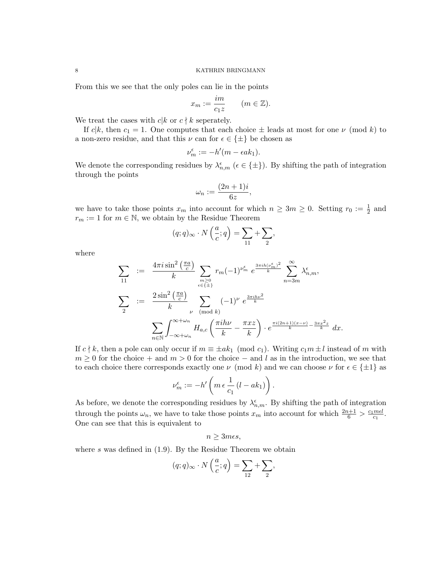From this we see that the only poles can lie in the points

$$
x_m := \frac{im}{c_1 z} \qquad (m \in \mathbb{Z}).
$$

We treat the cases with  $c|k$  or  $c \nmid k$  seperately.

If  $c|k$ , then  $c_1 = 1$ . One computes that each choice  $\pm$  leads at most for one  $\nu$  (mod k) to a non-zero residue, and that this  $\nu$  can for  $\epsilon \in {\pm}$  be chosen as

$$
\nu_m^{\epsilon} := -h'(m - \epsilon ak_1).
$$

We denote the corresponding residues by  $\lambda_{n,m}^{\epsilon}$  ( $\epsilon \in \{\pm\}$ ). By shifting the path of integration through the points

$$
\omega_n := \frac{(2n+1)i}{6z},
$$

we have to take those points  $x_m$  into account for which  $n \geq 3m \geq 0$ . Setting  $r_0 := \frac{1}{2}$  and  $r_m := 1$  for  $m \in \mathbb{N}$ , we obtain by the Residue Theorem

$$
(q;q)_{\infty} \cdot N\left(\frac{a}{c};q\right) = \sum_{11} + \sum_{2},
$$

where

$$
\sum_{11} := \frac{4\pi i \sin^2\left(\frac{\pi a}{c}\right)}{k} \sum_{\substack{m \ge 0 \\ \epsilon \in \{\pm\}}} r_m (-1)^{\nu_m^{\epsilon}} e^{\frac{3\pi i h (\nu_m^{\epsilon})^2}{k}} \sum_{n=3m}^{\infty} \lambda_{n,m}^{\epsilon},
$$
\n
$$
\sum_{2} := \frac{2 \sin^2\left(\frac{\pi a}{c}\right)}{k} \sum_{\substack{\nu \pmod{k} \\ \text{mod } k}} (-1)^{\nu} e^{\frac{3\pi i h \nu^2}{k}}
$$
\n
$$
\sum_{n \in \mathbb{N}} \int_{-\infty + \omega_n}^{\infty + \omega_n} H_{a,c}\left(\frac{\pi i h \nu}{k} - \frac{\pi x z}{k}\right) \cdot e^{\frac{\pi i (2n+1)(x-\nu)}{k} - \frac{3\pi x^2 z}{k}} dx.
$$

If  $c \nmid k$ , then a pole can only occur if  $m \equiv \pm ak_1 \pmod{c_1}$ . Writing  $c_1m \pm l$  instead of m with  $m \geq 0$  for the choice + and  $m > 0$  for the choice – and l as in the introduction, we see that to each choice there corresponds exactly one  $\nu \pmod{k}$  and we can choose  $\nu$  for  $\epsilon \in \{\pm 1\}$  as

$$
\nu_m^{\epsilon} := -h' \left( m \epsilon \frac{1}{c_1} (l - ak_1) \right).
$$

As before, we denote the corresponding residues by  $\lambda_{n,m}^{\epsilon}$ . By shifting the path of integration through the points  $\omega_n$ , we have to take those points  $x_m$  into account for which  $\frac{2n+1}{6} > \frac{c_1 m \epsilon l}{c_1}$  $\frac{m\epsilon l}{c_1}$ . One can see that this is equivalent to

$$
n \geq 3mes,
$$

where  $s$  was defined in  $(1.9)$ . By the Residue Theorem we obtain

$$
(q;q)_{\infty}\cdot N\left(\frac{a}{c};q\right)=\sum_{12}+\sum_{2},
$$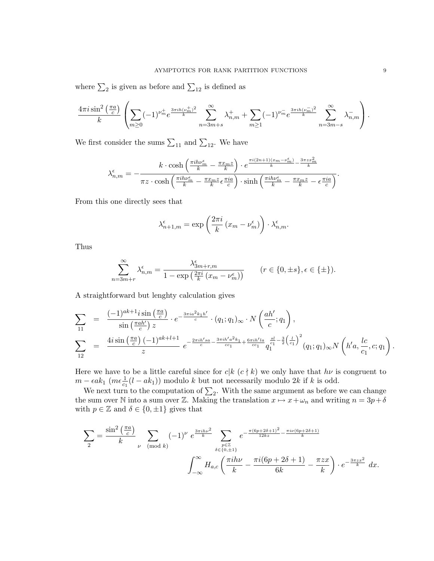where  $\sum_2$  is given as before and  $\sum_{12}$  is defined as

$$
\frac{4\pi i \sin^2\left(\frac{\pi a}{c}\right)}{k} \left( \sum_{m\geq 0} (-1)^{\nu_m^+} e^{\frac{3\pi i h (\nu_m^+)^2}{k}} \sum_{n=3m+s}^{\infty} \lambda_{n,m}^+ + \sum_{m\geq 1} (-1)^{\nu_m^-} e^{\frac{3\pi i h (\nu_m^-)^2}{k}} \sum_{n=3m-s}^{\infty} \lambda_{n,m}^- \right).
$$

We first consider the sums  $\sum_{11}$  and  $\sum_{12}$ . We have

$$
\lambda_{n,m}^{\epsilon} = -\frac{k \cdot \cosh\left(\frac{\pi i h \nu_m^{\epsilon}}{k} - \frac{\pi x_m z}{k}\right) \cdot e^{\frac{\pi i (2n+1)(x_m - \nu_m^{\epsilon})}{k} - \frac{3\pi z x_m^2}{k}}}{\pi z \cdot \cosh\left(\frac{\pi i h \nu_m^{\epsilon}}{k} - \frac{\pi x_m z}{k} \epsilon \frac{\pi i a}{c}\right) \cdot \sinh\left(\frac{\pi i h \nu_m^{\epsilon}}{k} - \frac{\pi x_m z}{k} - \epsilon \frac{\pi i a}{c}\right)}.
$$

From this one directly sees that

$$
\lambda_{n+1,m}^{\epsilon} = \exp\left(\frac{2\pi i}{k} \left(x_m - \nu_m^{\epsilon}\right)\right) \cdot \lambda_{n,m}^{\epsilon}.
$$

Thus

$$
\sum_{n=3m+r}^{\infty} \lambda_{n,m}^{\epsilon} = \frac{\lambda_{3m+r,m}^{\epsilon}}{1 - \exp\left(\frac{2\pi i}{k}(x_m - \nu_m^{\epsilon})\right)} \qquad (r \in \{0, \pm s\}, \epsilon \in \{\pm\}).
$$

A straightforward but lenghty calculation gives

$$
\sum_{11} = \frac{(-1)^{ak+1} i \sin\left(\frac{\pi a}{c}\right)}{\sin\left(\frac{\pi a h'}{c}\right) z} \cdot e^{-\frac{3\pi i a^2 k_1 h'}{c}} \cdot (q_1; q_1)_{\infty} \cdot N\left(\frac{ah'}{c}; q_1\right),
$$
\n
$$
\sum_{12} = \frac{4i \sin\left(\frac{\pi a}{c}\right)(-1)^{ak+l+1}}{z} e^{-\frac{2\pi i h' s a}{c} - \frac{3\pi i h' a^2 k_1}{c c_1} + \frac{6\pi i h' l a}{c c_1} \frac{s!}{q_1^{c_1}} - \frac{3}{2} \left(\frac{l}{c_1}\right)^2} (q_1; q_1)_{\infty} N\left(h' a, \frac{l c}{c_1}, c; q_1\right).
$$

Here we have to be a little careful since for  $c|k(c \nmid k)$  we only have that  $h\nu$  is congruent to  $m - \epsilon a k_1 \left( m \epsilon \frac{1}{c_1} (l - a k_1) \right)$  modulo k but not necessarily modulo 2k if k is odd.

We next turn to the computation of  $\sum_2$ . With the same argument as before we can change the sum over N into a sum over Z. Making the translation  $x \mapsto x + \omega_n$  and writing  $n = 3p+\delta$ with  $p \in \mathbb{Z}$  and  $\delta \in \{0, \pm 1\}$  gives that

$$
\sum_{2} = \frac{\sin^{2} \left(\frac{\pi a}{c}\right)}{k} \sum_{\nu \pmod{k}} (-1)^{\nu} e^{\frac{3\pi i h \nu^{2}}{k}} \sum_{\substack{p \in \mathbb{Z} \\ \delta \in \{0, \pm 1\} \\}} e^{-\frac{\pi (6p + 2\delta + 1)^{2}}{12kz} - \frac{\pi i \nu (6p + 2\delta + 1)}{k}}
$$

$$
\int_{-\infty}^{\infty} H_{a,c} \left(\frac{\pi i h \nu}{k} - \frac{\pi i (6p + 2\delta + 1)}{6k} - \frac{\pi z x}{k}\right) \cdot e^{-\frac{3\pi z x^{2}}{k}} dx.
$$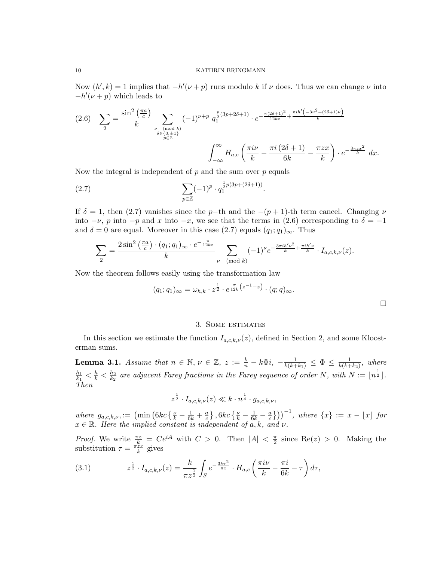Now  $(h', k) = 1$  implies that  $-h'(\nu + p)$  runs modulo k if  $\nu$  does. Thus we can change  $\nu$  into  $-h'(\nu + p)$  which leads to

$$
(2.6) \quad \sum_{2} = \frac{\sin^2\left(\frac{\pi a}{c}\right)}{k} \sum_{\substack{\nu \pmod{k} \\ \delta \in \{0, \pm 1\} \\ p \in \mathbb{Z}}} (-1)^{\nu+p} q_1^{\frac{p}{2}(3p+2\delta+1)} \cdot e^{-\frac{\pi (2\delta+1)^2}{12kz} + \frac{\pi i h'(-3\nu^2 + (2\delta+1)\nu)}{k}}}
$$
\n
$$
\int_{-\infty}^{\infty} H_{a,c} \left(\frac{\pi i\nu}{k} - \frac{\pi i (2\delta+1)}{6k} - \frac{\pi zx}{k}\right) \cdot e^{-\frac{3\pi zx^2}{k}} \, dx.
$$

Now the integral is independent of  $p$  and the sum over  $p$  equals

(2.7) 
$$
\sum_{p \in \mathbb{Z}} (-1)^p \cdot q_1^{\frac{1}{2}p(3p + (2\delta + 1))}.
$$

If  $\delta = 1$ , then (2.7) vanishes since the p−th and the  $-(p+1)$ -th term cancel. Changing  $\nu$ into  $-\nu$ , p into  $-p$  and x into  $-x$ , we see that the terms in (2.6) corresponding to  $\delta = -1$ and  $\delta = 0$  are equal. Moreover in this case (2.7) equals  $(q_1; q_1)_{\infty}$ . Thus

$$
\sum_{2} = \frac{2\sin^2\left(\frac{\pi a}{c}\right) \cdot (q_1; q_1)_{\infty} \cdot e^{-\frac{\pi}{12kz}}}{k} \sum_{\nu \pmod{k}} (-1)^{\nu} e^{-\frac{3\pi i h' \nu^2}{k} + \frac{\pi i h' \nu}{k}} \cdot I_{a,c,k,\nu}(z).
$$

Now the theorem follows easily using the transformation law

$$
(q_1;q_1)_{\infty} = \omega_{h,k} \cdot z^{\frac{1}{2}} \cdot e^{\frac{\pi}{12k}(z^{-1}-z)} \cdot (q;q)_{\infty}.
$$

## 3. Some estimates

In this section we estimate the function  $I_{a,c,k,\nu}(z)$ , defined in Section 2, and some Kloosterman sums.

**Lemma 3.1.** Assume that  $n \in \mathbb{N}$ ,  $\nu \in \mathbb{Z}$ ,  $z := \frac{k}{n} - k\Phi i$ ,  $-\frac{1}{k(k+k_1)} \leq \Phi \leq \frac{1}{k(k+k_1)}$  $\frac{1}{k(k+k_2)}$ , where  $h_1$  $\frac{h_1}{k_1}<\frac{h}{k}<\frac{h_2}{k_2}$  $\frac{h_2}{k_2}$  are adjacent Farey fractions in the Farey sequence of order N, with  $N := \lfloor n^{\frac{1}{2}} \rfloor$ . Then

$$
z^{\frac{1}{2}}\cdot I_{a,c,k,\nu}(z)\ll k\cdot n^{\frac{1}{4}}\cdot g_{a,c,k,\nu},
$$

where  $g_{a,c,k,\nu} := \left(\min\left(6kc\left\{\frac{\nu}{k} - \frac{1}{6k} + \frac{a}{c}\right)\right)\right)$  $\left\{\frac{a}{c}\right\}, 6kc\left\{\frac{\nu}{k} - \frac{1}{6k} - \frac{a}{c}\right\}$  $\left(\frac{a}{c}\right)$ ))<sup>-1</sup>, where  $\{x\} := x - \lfloor x \rfloor$  for  $x \in \mathbb{R}$ . Here the implied constant is independent of a, k, and  $\nu$ .

*Proof.* We write  $\frac{\pi z}{k} = Ce^{iA}$  with  $C > 0$ . Then  $|A| < \frac{\pi}{2}$  $\frac{\pi}{2}$  since Re(z) > 0. Making the substitution  $\tau = \frac{\pi z_x}{k}$  $\frac{zx}{k}$  gives

(3.1) 
$$
z^{\frac{1}{2}} \cdot I_{a,c,k,\nu}(z) = \frac{k}{\pi z^{\frac{1}{2}}} \int_{S} e^{-\frac{3k\tau^2}{\pi z}} \cdot H_{a,c}\left(\frac{\pi i\nu}{k} - \frac{\pi i}{6k} - \tau\right) d\tau,
$$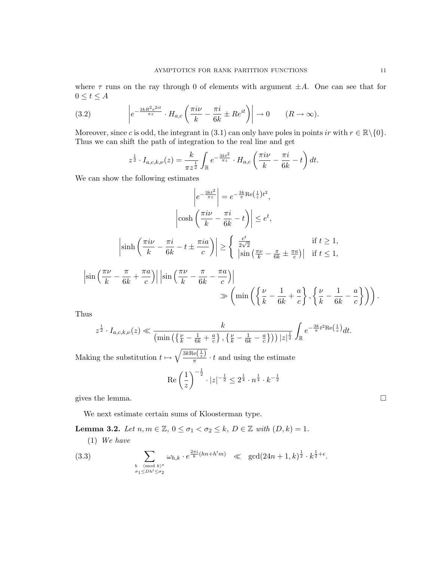where  $\tau$  runs on the ray through 0 of elements with argument  $\pm A$ . One can see that for  $0 \leq t \leq A$ 

(3.2) 
$$
\left| e^{-\frac{3kR^2e^{2it}}{\pi z}} \cdot H_{a,c} \left( \frac{\pi i \nu}{k} - \frac{\pi i}{6k} \pm Re^{it} \right) \right| \to 0 \qquad (R \to \infty).
$$

Moreover, since c is odd, the integrant in (3.1) can only have poles in points ir with  $r \in \mathbb{R} \setminus \{0\}$ . Thus we can shift the path of integration to the real line and get

$$
z^{\frac{1}{2}} \cdot I_{a,c,k,\nu}(z) = \frac{k}{\pi z^{\frac{1}{2}}} \int_{\mathbb{R}} e^{-\frac{3kt^2}{\pi z}} \cdot H_{a,c} \left(\frac{\pi i \nu}{k} - \frac{\pi i}{6k} - t\right) dt.
$$

We can show the following estimates

$$
\left|e^{-\frac{3kt^2}{\pi z}}\right| = e^{-\frac{3k}{\pi}\text{Re}\left(\frac{1}{z}\right)t^2},
$$
\n
$$
\left|\cosh\left(\frac{\pi i\nu}{k} - \frac{\pi i}{6k} - t\right)\right| \le e^t,
$$
\n
$$
\left|\sinh\left(\frac{\pi i\nu}{k} - \frac{\pi i}{6k} - t \pm \frac{\pi i a}{c}\right)\right| \ge \left\{\begin{array}{l}\frac{e^t}{2\sqrt{2}} & \text{if } t \ge 1, \\
\left|\sin\left(\frac{\pi \nu}{k} - \frac{\pi}{6k} + \frac{\pi a}{c}\right)\right| & \text{if } t \le 1,\n\end{array}\right\}
$$
\n
$$
\left|\sin\left(\frac{\pi \nu}{k} - \frac{\pi}{6k} + \frac{\pi a}{c}\right)\right| \left|\sin\left(\frac{\pi \nu}{k} - \frac{\pi}{6k} - \frac{\pi a}{c}\right)\right| \gg \left(\min\left(\left\{\frac{\nu}{k} - \frac{1}{6k} + \frac{a}{c}\right\}, \left\{\frac{\nu}{k} - \frac{1}{6k} - \frac{a}{c}\right\}\right)\right).
$$

Thus

$$
z^{\frac{1}{2}} \cdot I_{a,c,k,\nu}(z) \ll \frac{k}{\left(\min\left(\left\{\frac{\nu}{k}-\frac{1}{6k}+\frac{a}{c}\right\},\left\{\frac{\nu}{k}-\frac{1}{6k}-\frac{a}{c}\right\}\right)\right)|z|^{\frac{1}{2}}} \int_{\mathbb{R}} e^{-\frac{3k}{\pi}t^{2} \text{Re}\left(\frac{1}{z}\right)} dt.
$$

Making the substitution  $t \mapsto \sqrt{\frac{3k\text{Re}\left(\frac{1}{z}\right)}{\pi}}$  $\frac{\pi}{\pi}$   $\cdot t$  and using the estimate

$$
\operatorname{Re}\left(\frac{1}{z}\right)^{-\frac{1}{2}} \cdot |z|^{-\frac{1}{2}} \le 2^{\frac{1}{4}} \cdot n^{\frac{1}{4}} \cdot k^{-\frac{1}{2}}
$$

gives the lemma.  $\Box$ 

We next estimate certain sums of Kloosterman type.

Lemma 3.2. Let  $n, m \in \mathbb{Z}$ ,  $0 \leq \sigma_1 < \sigma_2 \leq k$ ,  $D \in \mathbb{Z}$  with  $(D, k) = 1$ .

(1) We have

(3.3) 
$$
\sum_{\substack{h \pmod{k}^* \\ \sigma_1 \le Dh' \le \sigma_2}} \omega_{h,k} \cdot e^{\frac{2\pi i}{k}(hn + h'm)} \ll \gcd(24n + 1, k)^{\frac{1}{2}} \cdot k^{\frac{1}{2} + \epsilon}.
$$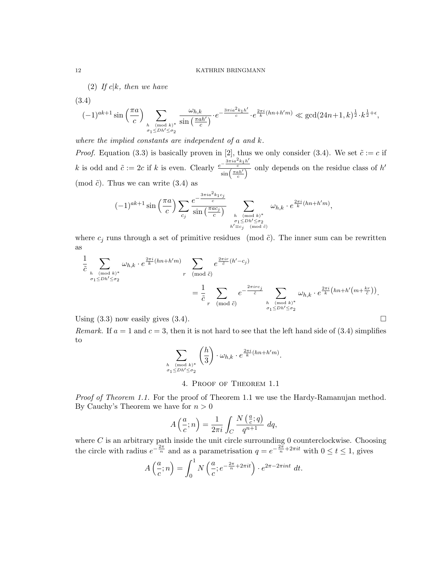(2) If  $c|k$ , then we have

(3.4)

$$
(-1)^{ak+1}\sin\left(\frac{\pi a}{c}\right)\sum_{h\pmod{k^*}}\frac{\omega_{h,k}}{\sin\left(\frac{\pi a h'}{c}\right)}\cdot e^{-\frac{3\pi i a^2 k_1 h'}{c}}\cdot e^{\frac{2\pi i}{k}(hn+h'm)}\ll \gcd(24n+1,k)^{\frac{1}{2}}\cdot k^{\frac{1}{2}+\epsilon},
$$

where the implied constants are independent of a and k.

*Proof.* Equation (3.3) is basically proven in [2], thus we only consider (3.4). We set  $\tilde{c} := c$  if k is odd and  $\tilde{c} := 2c$  if k is even. Clearly  $e^{-\frac{3\pi i a^2 k_1 h'}{c}}$  $\frac{c}{\sin\left(\frac{\pi a h'}{c}\right)}$  only depends on the residue class of h' (mod  $\tilde{c}$ ). Thus we can write (3.4) as

$$
(-1)^{ak+1}\sin\left(\frac{\pi a}{c}\right)\sum_{c_j}\frac{e^{-\frac{3\pi i a^2 k_1 c_j}{c}}}{\sin\left(\frac{\pi ac_j}{c}\right)}\sum_{\substack{h \pmod{k}^* \ \sigma_1 \le Dh' \le \sigma_2 \\ h' \equiv c_j \pmod{\tilde{c}}}} \omega_{h,k} \cdot e^{\frac{2\pi i}{k}(hn+h'm)},
$$

where  $c_i$  runs through a set of primitive residues (mod  $\tilde{c}$ ). The inner sum can be rewritten as

$$
\frac{1}{\tilde{c}} \sum_{\substack{h \pmod{k}^* \\ \sigma_1 \le Dh' \le \sigma_2}} \omega_{h,k} \cdot e^{\frac{2\pi i}{k}(hn+h'm)} \sum_{r \pmod{\tilde{c}}} e^{\frac{2\pi ir}{\tilde{c}}(h'-c_j)} \n= \frac{1}{\tilde{c}} \sum_{r \pmod{\tilde{c}}} e^{-\frac{2\pi irc_j}{\tilde{c}}} \sum_{\substack{h \pmod{k}^* \\ \sigma_1 \le Dh' \le \sigma_2}} \omega_{h,k} \cdot e^{\frac{2\pi i}{k}(hn+h'(m+\frac{kr}{\tilde{c}}))}.
$$

Using  $(3.3)$  now easily gives  $(3.4)$ .

Remark. If  $a = 1$  and  $c = 3$ , then it is not hard to see that the left hand side of (3.4) simplifies to

$$
\sum_{\substack{h \pmod{k}^* \\ \sigma_1 \leq Dh' \leq \sigma_2}} \left(\frac{h}{3}\right) \cdot \omega_{h,k} \cdot e^{\frac{2\pi i}{k}(hn+h'm)}.
$$

## 4. Proof of Theorem 1.1

Proof of Theorem 1.1. For the proof of Theorem 1.1 we use the Hardy-Ramanujan method. By Cauchy's Theorem we have for  $n > 0$ 

$$
A\left(\frac{a}{c};n\right) = \frac{1}{2\pi i} \int_C \frac{N\left(\frac{a}{c};q\right)}{q^{n+1}} dq,
$$

where  $C$  is an arbitrary path inside the unit circle surrounding 0 counterclockwise. Choosing the circle with radius  $e^{-\frac{2\pi}{n}}$  and as a parametrisation  $q = e^{-\frac{2\pi}{n} + 2\pi i t}$  with  $0 \le t \le 1$ , gives

$$
A\left(\frac{a}{c};n\right) = \int_0^1 N\left(\frac{a}{c};e^{-\frac{2\pi}{n}+2\pi it}\right) \cdot e^{2\pi-2\pi int} dt.
$$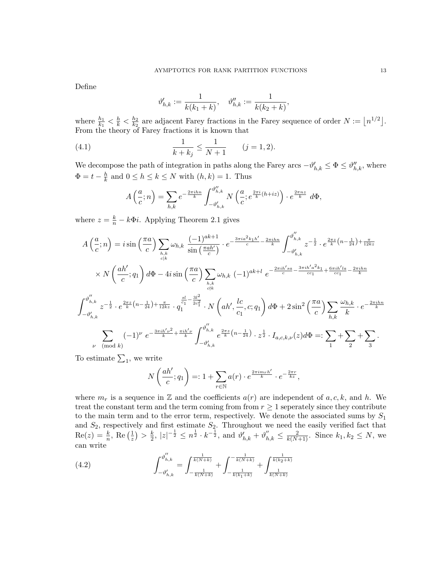Define

$$
\vartheta_{h,k}^{\prime}:=\frac{1}{k(k_1+k)},\quad \vartheta_{h,k}^{\prime\prime}:=\frac{1}{k(k_2+k)},
$$

where  $\frac{h_1}{k_1} < \frac{h}{k} < \frac{h_2}{k_2}$  $\frac{h_2}{k_2}$  are adjacent Farey fractions in the Farey sequence of order  $N := \lfloor n^{1/2} \rfloor$ . From the theory of Farey fractions it is known that

(4.1) 
$$
\frac{1}{k+k_j} \le \frac{1}{N+1} \qquad (j=1,2).
$$

We decompose the path of integration in paths along the Farey arcs  $-\vartheta'_{h,k} \leq \Phi \leq \vartheta''_{h,k}$ , where  $\Phi = t - \frac{h}{k}$  $\frac{h}{k}$  and  $0 \leq h \leq k \leq N$  with  $(h, k) = 1$ . Thus

 $\overline{u}$ 

$$
A\left(\frac{a}{c};n\right) = \sum_{h,k} e^{-\frac{2\pi i h n}{k}} \int_{-\vartheta'_{h,k}}^{\vartheta''_{h,k}} N\left(\frac{a}{c}; e^{\frac{2\pi i}{k}(h+iz)}\right) \cdot e^{\frac{2\pi n z}{k}} d\Phi,
$$

where  $z = \frac{k}{n} - k\Phi i$ . Applying Theorem 2.1 gives

$$
A\left(\frac{a}{c};n\right) = i \sin\left(\frac{\pi a}{c}\right) \sum_{h,k} \omega_{h,k} \frac{(-1)^{ak+1}}{\sin\left(\frac{\pi a h'}{c}\right)} \cdot e^{-\frac{3\pi i a^2 k_1 h'}{c} - \frac{2\pi i h n}{k}} \int_{-\vartheta'_{h,k}}^{\vartheta'_{h,k}} z^{-\frac{1}{2}} \cdot e^{\frac{2\pi z}{k} \left(n - \frac{1}{24}\right) + \frac{\pi}{12kz}}
$$
  
\n
$$
\times N\left(\frac{ah'}{c};q_1\right) d\Phi - 4i \sin\left(\frac{\pi a}{c}\right) \sum_{h,k} \omega_{h,k} (-1)^{ak+1} e^{-\frac{2\pi i h' s a}{c} - \frac{3\pi i h' a^2 k_1}{c c_1} + \frac{6\pi i h' l a}{c c_1} - \frac{2\pi i h n}{k}}
$$
  
\n
$$
\int_{-\vartheta'_{h,k}}^{\vartheta''_{h,k}} z^{-\frac{1}{2}} \cdot e^{\frac{2\pi z}{k} \left(n - \frac{1}{24}\right) + \frac{\pi}{12kz}} \cdot q_1^{\frac{sl}{c_1} - \frac{3l^2}{2c_1^2}} \cdot N\left(ah', \frac{lc}{c_1}, c; q_1\right) d\Phi + 2\sin^2\left(\frac{\pi a}{c}\right) \sum_{h,k} \frac{\omega_{h,k}}{k} \cdot e^{-\frac{2\pi i h n}{k}}
$$
  
\n
$$
\sum_{\nu \pmod{k}} (-1)^{\nu} e^{-\frac{3\pi i h' \nu^2}{k} + \frac{\pi i h' \nu}{k}} \int_{-\vartheta'_{h,k}}^{\vartheta''_{h,k}} e^{\frac{2\pi z}{k} \left(n - \frac{1}{24}\right)} \cdot z^{\frac{1}{2}} \cdot I_{a,c,k,\nu}(z) d\Phi =: \sum_{1} + \sum_{2} + \sum_{3} .
$$

To estimate  $\Sigma_1$ , we write

$$
N\left(\frac{ah'}{c};q_1\right) =: 1 + \sum_{r \in \mathbb{N}} a(r) \cdot e^{\frac{2\pi i m_r h'}{k}} \cdot e^{-\frac{2\pi r}{kz}},
$$

where  $m_r$  is a sequence in Z and the coefficients  $a(r)$  are independent of a, c, k, and h. We treat the constant term and the term coming from from  $r \geq 1$  seperately since they contribute to the main term and to the error term, respectively. We denote the associated sums by  $S_1$ and  $S_2$ , respectively and first estimate  $S_2$ . Throughout we need the easily verified fact that  $\operatorname{Re}(z) = \frac{k}{n}, \operatorname{Re}\left(\frac{1}{z}\right)$  $(\frac{1}{z}) > \frac{k}{2}$  $\frac{k}{2}$ ,  $|z|^{-\frac{1}{2}} \leq n^{\frac{1}{2}} \cdot k^{-\frac{1}{2}}$ , and  $\vartheta'_{h,k} + \vartheta''_{h,k} \leq \frac{2}{k(N+1)}$ . Since  $k_1, k_2 \leq N$ , we can write

(4.2) 
$$
\int_{-\vartheta'_{h,k}}^{\vartheta''_{h,k}} = \int_{-\frac{1}{k(N+k)}}^{\frac{1}{k(N+k)}} + \int_{-\frac{1}{k(k_1+k)}}^{-\frac{1}{k(N+k)}} + \int_{\frac{1}{k(N+k)}}^{\frac{1}{k(k_2+k)}}
$$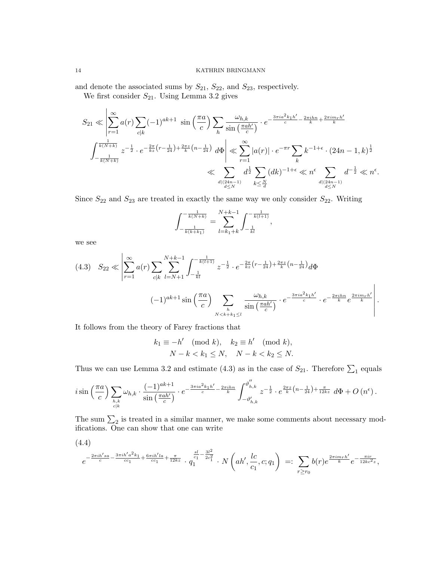and denote the associated sums by  $S_{21}$ ,  $S_{22}$ , and  $S_{23}$ , respectively.

We first consider  $S_{21}$ . Using Lemma 3.2 gives

$$
S_{21} \ll \left| \sum_{r=1}^{\infty} a(r) \sum_{c|k} (-1)^{ak+1} \sin\left(\frac{\pi a}{c}\right) \sum_{h} \frac{\omega_{h,k}}{\sin\left(\frac{\pi a h'}{c}\right)} \cdot e^{-\frac{3\pi i a^2 k_1 h'}{c} - \frac{2\pi i h n}{k} + \frac{2\pi i m_r h'}{k}} \right|
$$

$$
\int_{-\frac{1}{k(N+k)}}^{\frac{1}{k(N+k)}} z^{-\frac{1}{2}} \cdot e^{-\frac{2\pi}{kz} \left(r - \frac{1}{24}\right) + \frac{2\pi z}{k} \left(n - \frac{1}{24}\right)} d\Phi \right| \ll \sum_{r=1}^{\infty} |a(r)| \cdot e^{-\pi r} \sum_{k} k^{-1+\epsilon} \cdot (24n - 1, k)^{\frac{1}{2}}
$$

$$
\ll \sum_{\substack{d|(24n-1) \\ d \le N}} d^{\frac{1}{2}} \sum_{k \le \frac{N}{d}} (dk)^{-1+\epsilon} \ll n^{\epsilon} \sum_{\substack{d|(24n-1) \\ d \le N}} d^{-\frac{1}{2}} \ll n^{\epsilon}.
$$

Since  $S_{22}$  and  $S_{23}$  are treated in exactly the same way we only consider  $S_{22}$ . Writing

$$
\int_{-\frac{1}{k(k+k_1)}}^{-\frac{1}{k(N+k)}} = \sum_{l=k_1+k}^{N+k-1} \int_{-\frac{1}{kl}}^{-\frac{1}{k(l+1)}},
$$

we see

$$
(4.3) \quad S_{22} \ll \left| \sum_{r=1}^{\infty} a(r) \sum_{c|k} \sum_{l=N+1}^{N+k-1} \int_{-\frac{1}{kl}}^{-\frac{1}{k(l+1)}} z^{-\frac{1}{2}} \cdot e^{-\frac{2\pi}{kz} \left(r - \frac{1}{24}\right) + \frac{2\pi z}{k} \left(n - \frac{1}{24}\right)} d\Phi \right|
$$
\n
$$
(-1)^{ak+1} \sin\left(\frac{\pi a}{c}\right) \sum_{\substack{h\\N < k+k_1 \le l}} \frac{\omega_{h,k}}{\sin\left(\frac{\pi a h'}{c}\right)} \cdot e^{-\frac{3\pi i a^2 k_1 h'}{c}} \cdot e^{-\frac{2\pi i h n}{k}} e^{\frac{2\pi i m_r h'}{k}}
$$

.

It follows from the theory of Farey fractions that

$$
k_1 \equiv -h' \pmod{k}, \quad k_2 \equiv h' \pmod{k},
$$
  

$$
N - k < k_1 \le N, \quad N - k < k_2 \le N.
$$

Thus we can use Lemma 3.2 and estimate (4.3) as in the case of  $S_{21}$ . Therefore  $\sum_1$  equals

$$
i\sin\left(\frac{\pi a}{c}\right)\sum_{\substack{h,k\\c|k}}\omega_{h,k}\cdot\frac{(-1)^{ak+1}}{\sin\left(\frac{\pi a h'}{c}\right)}\cdot e^{-\frac{3\pi i a^2 k_1 h'}{c} - \frac{2\pi i hn}{k}}\int_{-\vartheta'_{h,k}}^{\vartheta''_{h,k}}z^{-\frac{1}{2}}\cdot e^{\frac{2\pi z}{k}\left(n-\frac{1}{24}\right)+\frac{\pi}{12kz}}\ d\Phi+O\left(n^{\epsilon}\right).
$$

The sum  $\Sigma_2$  is treated in a similar manner, we make some comments about necessary modifications. One can show that one can write

$$
(4.4)
$$
\n
$$
e^{-\frac{2\pi i h' s a}{c} - \frac{3\pi i h' a^2 k_1}{cc_1} + \frac{6\pi i h' l a}{cc_1} + \frac{\pi}{12 k z}} \cdot q_1^{\frac{sl}{c_1} - \frac{3l^2}{2c_1^2}} \cdot N\left(ah', \frac{lc}{c_1}, c; q_1\right) =: \sum_{r \ge r_0} b(r) e^{\frac{2\pi i m_r h'}{k}} e^{-\frac{\pi i r}{12 k c^2 z}},
$$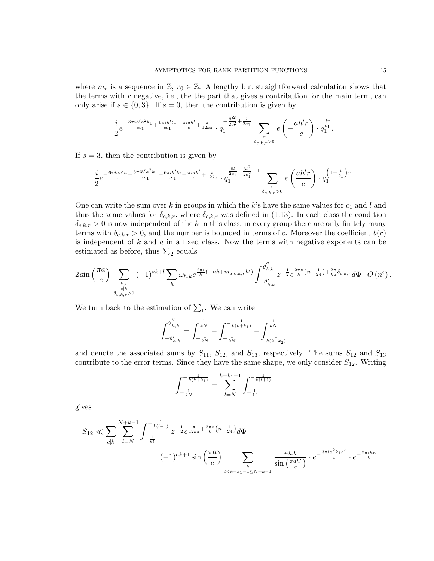where  $m_r$  is a sequence in  $\mathbb{Z}, r_0 \in \mathbb{Z}$ . A lengthy but straightforward calculation shows that the terms with  $r$  negative, i.e., the the part that gives a contribution for the main term, can only arise if  $s \in \{0,3\}$ . If  $s = 0$ , then the contribution is given by

$$
\frac{i}{2}e^{-\frac{3\pi i h'a^2k_1}{cc_1}+\frac{6\pi i h'l a}{cc_1}-\frac{\pi i a h'}{c}+\frac{\pi}{12kz}}\cdot q_1^{-\frac{3l^2}{2c_1^2}+\frac{l}{2c_1}}\sum_{\substack{r \\ \delta_{c,k,r}>0}}e\left(-\frac{ah'r}{c}\right)\cdot q_1^{\frac{l r}{c_1}}
$$

If  $s = 3$ , then the contribution is given by

$$
\frac{i}{2}e^{-\frac{6\pi i a h'a}{c} - \frac{3\pi i h'a^2 k_1}{c c_1} + \frac{6\pi i h'la}{c c_1} + \frac{\pi i a h'}{c} + \frac{\pi}{12 k z}}\cdot q_1^{\frac{5l}{2c_1} - \frac{3l^2}{2c_1^2} - 1}\sum_{\delta_{c,k,r} > 0} e\left(\frac{ah'r}{c}\right)\cdot q_1^{\left(1 - \frac{l}{c_1}\right)r}.
$$

One can write the sum over k in groups in which the k's have the same values for  $c_1$  and l and thus the same values for  $\delta_{c,k,r}$ , where  $\delta_{c,k,r}$  was defined in (1.13). In each class the condition  $\delta_{c,k,r} > 0$  is now independent of the k in this class; in every group there are only finitely many terms with  $\delta_{c,k,r} > 0$ , and the number is bounded in terms of c. Moreover the coefficient  $b(r)$ is independent of  $k$  and  $a$  in a fixed class. Now the terms with negative exponents can be estimated as before, thus  $\sum_2$  equals

$$
2\sin\left(\frac{\pi a}{c}\right) \sum_{\substack{k,r\\c\nmid k}} (-1)^{ak+l} \sum_h \omega_{h,k} e^{\frac{2\pi i}{k}(-nh+m_{a,c,k,r}h')} \int_{-\vartheta'_{h,k}}^{\vartheta''_{h,k}} z^{-\frac{1}{2}} e^{\frac{2\pi z}{k}\left(n-\frac{1}{24}\right)+\frac{2\pi}{kz}\delta_{c,k,r}} d\Phi + O\left(n^{\epsilon}\right).
$$

We turn back to the estimation of  $\Sigma_1$ . We can write

$$
\int_{-\vartheta_{h,k}'}^{\vartheta_{h,k}''} = \int_{-\frac{1}{kN}}^{\frac{1}{kN}} - \int_{-\frac{1}{kN}}^{-\frac{1}{k(k+k_1)}} - \int_{\frac{1}{k(k+k_2)}}^{\frac{1}{kN}}
$$

and denote the associated sums by  $S_{11}$ ,  $S_{12}$ , and  $S_{13}$ , respectively. The sums  $S_{12}$  and  $S_{13}$ contribute to the error terms. Since they have the same shape, we only consider  $S_{12}$ . Writing

$$
\int_{-\frac{1}{kN}}^{-\frac{1}{k(k+k_1)}} = \sum_{l=N}^{k+k_1-1} \int_{-\frac{1}{kl}}^{-\frac{1}{k(l+1)}}
$$

gives

$$
S_{12} \ll \sum_{c|k} \sum_{l=N}^{N+k-1} \int_{-\frac{1}{kl}}^{-\frac{1}{k(l+1)}} z^{-\frac{1}{2}} e^{\frac{\pi}{12kz} + \frac{2\pi z}{k} \left(n - \frac{1}{24}\right)} d\Phi
$$
  

$$
(-1)^{ak+1} \sin\left(\frac{\pi a}{c}\right) \sum_{\substack{l
$$

.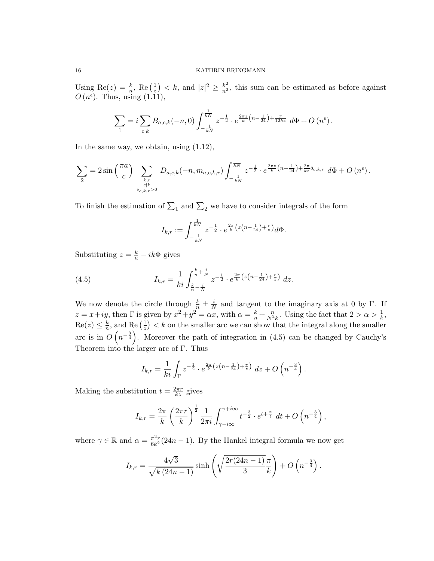Using Re(z) =  $\frac{k}{n}$ , Re( $\frac{1}{z}$ )  $\left(\frac{1}{z}\right)$  < k, and  $|z|^2 \geq \frac{k^2}{n^2}$ , this sum can be estimated as before against  $O(n^{\epsilon})$ . Thus, using  $(1.\tilde{1}\tilde{1}),$ 

$$
\sum_{1} = i \sum_{c|k} B_{a,c,k}(-n,0) \int_{-\frac{1}{kN}}^{\frac{1}{kN}} z^{-\frac{1}{2}} \cdot e^{\frac{2\pi z}{k}(n-\frac{1}{24}) + \frac{\pi}{12kz}} d\Phi + O(n^{\epsilon}).
$$

In the same way, we obtain, using (1.12),

$$
\sum_{2} = 2\sin\left(\frac{\pi a}{c}\right) \sum_{\substack{k,r \\ c \nmid k}} D_{a,c,k}(-n, m_{a,c,k,r}) \int_{-\frac{1}{kN}}^{\frac{1}{kN}} z^{-\frac{1}{2}} \cdot e^{\frac{2\pi z}{k}\left(n - \frac{1}{24}\right) + \frac{2\pi}{kz} \delta_{c,k,r}} d\Phi + O\left(n^{\epsilon}\right).
$$

To finish the estimation of  $\Sigma_1$  and  $\Sigma_2$  we have to consider integrals of the form

$$
I_{k,r} := \int_{-\frac{1}{kN}}^{\frac{1}{kN}} z^{-\frac{1}{2}} \cdot e^{\frac{2\pi}{k} \left( z\left(n - \frac{1}{24}\right) + \frac{r}{z}\right)} d\Phi.
$$

Substituting  $z = \frac{k}{n} - ik\Phi$  gives

(4.5) 
$$
I_{k,r} = \frac{1}{ki} \int_{\frac{k}{n} - \frac{i}{N}}^{\frac{k}{n} + \frac{i}{N}} z^{-\frac{1}{2}} \cdot e^{\frac{2\pi}{k} \left( z \left( n - \frac{1}{24} \right) + \frac{r}{z} \right)} dz.
$$

We now denote the circle through  $\frac{k}{n} \pm \frac{i}{N}$  $\frac{i}{N}$  and tangent to the imaginary axis at 0 by Γ. If  $z = x + iy$ , then  $\Gamma$  is given by  $x^2 + y^2 = \alpha x$ , with  $\alpha = \frac{k}{n} + \frac{n}{N^2 k}$ . Using the fact that  $2 > \alpha > \frac{1}{k}$ ,  $\text{Re}(z) \leq \frac{k}{n}$  $\frac{k}{n}$ , and Re  $\left(\frac{1}{z}\right)$  $(\frac{1}{z}) < k$  on the smaller arc we can show that the integral along the smaller arc is in  $O(n^{-\frac{3}{4}})$ . Moreover the path of integration in (4.5) can be changed by Cauchy's Theorem into the larger arc of Γ. Thus

$$
I_{k,r} = \frac{1}{ki} \int_{\Gamma} z^{-\frac{1}{2}} \cdot e^{\frac{2\pi}{k} \left( z \left( n - \frac{1}{24} \right) + \frac{r}{z} \right)} dz + O\left( n^{-\frac{3}{4}} \right).
$$

Making the substitution  $t = \frac{2\pi r}{kz}$  gives

$$
I_{k,r} = \frac{2\pi}{k} \left(\frac{2\pi r}{k}\right)^{\frac{1}{2}} \frac{1}{2\pi i} \int_{\gamma - i\infty}^{\gamma + i\infty} t^{-\frac{3}{2}} \cdot e^{t + \frac{\alpha}{t}} dt + O\left(n^{-\frac{3}{4}}\right),
$$

where  $\gamma \in \mathbb{R}$  and  $\alpha = \frac{\pi^2 r}{6 k^2}$  $\frac{\pi^2 r}{6k^2}(24n-1)$ . By the Hankel integral formula we now get

$$
I_{k,r} = \frac{4\sqrt{3}}{\sqrt{k(24n-1)}} \sinh\left(\sqrt{\frac{2r(24n-1)}{3}}\frac{\pi}{k}\right) + O\left(n^{-\frac{3}{4}}\right).
$$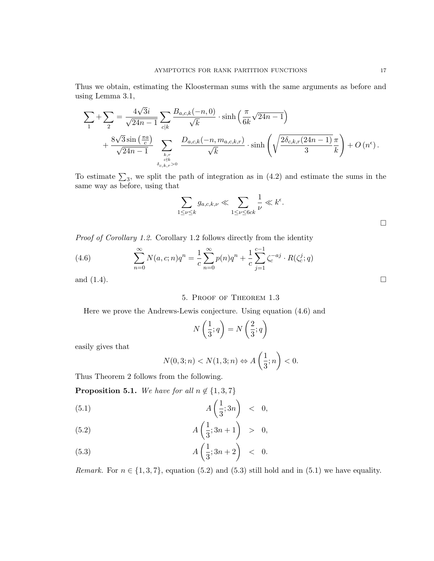Thus we obtain, estimating the Kloosterman sums with the same arguments as before and using Lemma 3.1,

$$
\sum_{1} + \sum_{2} = \frac{4\sqrt{3}i}{\sqrt{24n - 1}} \sum_{c|k} \frac{B_{a,c,k}(-n,0)}{\sqrt{k}} \cdot \sinh\left(\frac{\pi}{6k}\sqrt{24n - 1}\right) + \frac{8\sqrt{3}\sin\left(\frac{\pi a}{c}\right)}{\sqrt{24n - 1}} \sum_{\substack{k,r \ k \in \mathbb{N} \\ \delta_{c,k,r} > 0}} \frac{D_{a,c,k}(-n, m_{a,c,k,r})}{\sqrt{k}} \cdot \sinh\left(\sqrt{\frac{2\delta_{c,k,r}(24n - 1)}{3}}\frac{\pi}{k}\right) + O\left(n^{\epsilon}\right).
$$

To estimate  $\sum_3$ , we split the path of integration as in (4.2) and estimate the sums in the same way as before, using that

$$
\sum_{1 \le \nu \le k} g_{a,c,k,\nu} \ll \sum_{1 \le \nu \le 6ck} \frac{1}{\nu} \ll k^{\epsilon}.
$$

Proof of Corollary 1.2. Corollary 1.2 follows directly from the identity

(4.6) 
$$
\sum_{n=0}^{\infty} N(a, c; n) q^n = \frac{1}{c} \sum_{n=0}^{\infty} p(n) q^n + \frac{1}{c} \sum_{j=1}^{c-1} \zeta_c^{-aj} \cdot R(\zeta_c^j; q)
$$
  
and (1.4).

## 5. Proof of Theorem 1.3

Here we prove the Andrews-Lewis conjecture. Using equation (4.6) and

$$
N\left(\frac{1}{3};q\right) = N\left(\frac{2}{3};q\right)
$$

easily gives that

$$
N(0,3;n) < N(1,3;n) \Leftrightarrow A\left(\frac{1}{3};n\right) < 0.
$$

Thus Theorem 2 follows from the following.

**Proposition 5.1.** We have for all  $n \notin \{1, 3, 7\}$ 

$$
(5.1) \t\t A\left(\frac{1}{3};3n\right) < 0,
$$

(5.2) 
$$
A\left(\frac{1}{3};3n+1\right) > 0,
$$

$$
(5.3) \t\t A\left(\frac{1}{3};3n+2\right) < 0.
$$

Remark. For  $n \in \{1, 3, 7\}$ , equation (5.2) and (5.3) still hold and in (5.1) we have equality.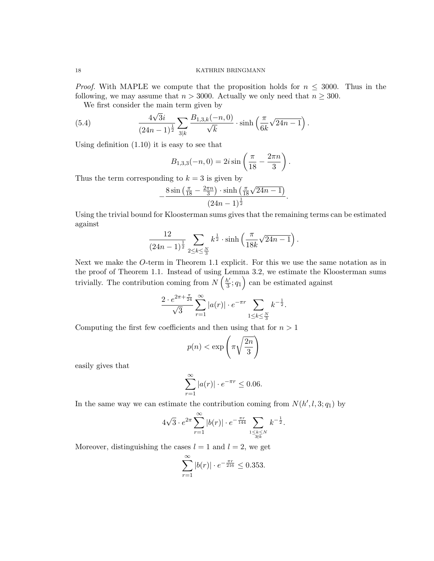*Proof.* With MAPLE we compute that the proposition holds for  $n \leq 3000$ . Thus in the following, we may assume that  $n > 3000$ . Actually we only need that  $n \geq 300$ .

We first consider the main term given by √

(5.4) 
$$
\frac{4\sqrt{3}i}{(24n-1)^{\frac{1}{2}}} \sum_{3|k} \frac{B_{1,3,k}(-n,0)}{\sqrt{k}} \cdot \sinh\left(\frac{\pi}{6k}\sqrt{24n-1}\right).
$$

Using definition (1.10) it is easy to see that

$$
B_{1,3,3}(-n,0) = 2i \sin \left(\frac{\pi}{18} - \frac{2\pi n}{3}\right).
$$

Thus the term corresponding to  $k = 3$  is given by

$$
-\frac{8\sin\left(\frac{\pi}{18}-\frac{2\pi n}{3}\right)\cdot\sinh\left(\frac{\pi}{18}\sqrt{24n-1}\right)}{(24n-1)^{\frac{1}{2}}}.
$$

Using the trivial bound for Kloosterman sums gives that the remaining terms can be estimated against

$$
\frac{12}{(24n-1)^{\frac{1}{2}}}\sum_{2\leq k\leq \frac{N}{3}}k^{\frac{1}{2}}\cdot \sinh\left(\frac{\pi}{18k}\sqrt{24n-1}\right).
$$

Next we make the O-term in Theorem 1.1 explicit. For this we use the same notation as in the proof of Theorem 1.1. Instead of using Lemma 3.2, we estimate the Kloosterman sums trivially. The contribution coming from  $N\left(\frac{h'}{3}\right)$  $\left(\frac{b'}{3};q_1\right)$  can be estimated against

$$
\frac{2 \cdot e^{2\pi + \frac{\pi}{24}}}{\sqrt{3}} \sum_{r=1}^{\infty} |a(r)| \cdot e^{-\pi r} \sum_{1 \le k \le \frac{N}{3}} k^{-\frac{1}{2}}.
$$

Computing the first few coefficients and then using that for  $n > 1$ 

$$
p(n) < \exp\left(\pi\sqrt{\frac{2n}{3}}\right)
$$

easily gives that

$$
\sum_{r=1}^{\infty} |a(r)| \cdot e^{-\pi r} \le 0.06.
$$

In the same way we can estimate the contribution coming from  $N(h', l, 3; q_1)$  by

$$
4\sqrt{3} \cdot e^{2\pi} \sum_{r=1}^{\infty} |b(r)| \cdot e^{-\frac{\pi r}{144}} \sum_{\substack{1 \le k \le N \\ 3 \nmid k}} k^{-\frac{1}{2}}.
$$

Moreover, distinguishing the cases  $l = 1$  and  $l = 2$ , we get

$$
\sum_{r=1}^{\infty} |b(r)| \cdot e^{-\frac{\pi r}{216}} \le 0.353.
$$